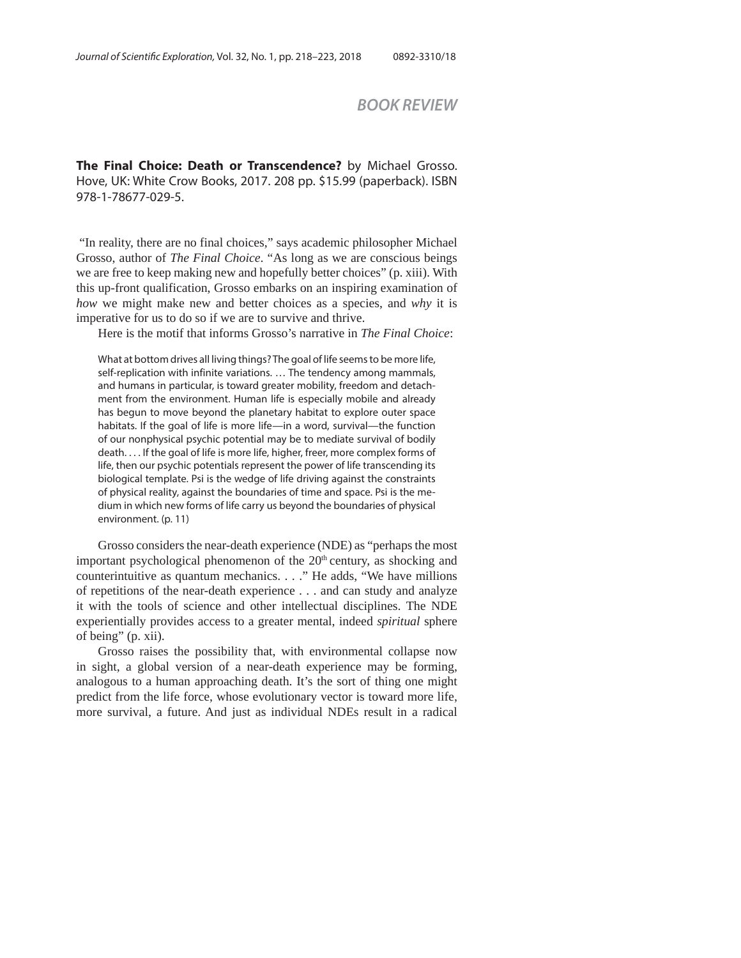## *BOOK REVIEW*

**The Final Choice: Death or Transcendence?** by Michael Grosso. Hove, UK: White Crow Books, 2017. 208 pp. \$15.99 (paperback). ISBN 978-1-78677-029-5.

 "In reality, there are no final choices," says academic philosopher Michael Grosso, author of *The Final Choice*. "As long as we are conscious beings we are free to keep making new and hopefully better choices" (p. xiii). With this up-front qualification, Grosso embarks on an inspiring examination of *how* we might make new and better choices as a species, and *why* it is imperative for us to do so if we are to survive and thrive.

Here is the motif that informs Grosso's narrative in *The Final Choice*:

What at bottom drives all living things? The goal of life seems to be more life, self-replication with infinite variations. … The tendency among mammals, and humans in particular, is toward greater mobility, freedom and detachment from the environment. Human life is especially mobile and already has begun to move beyond the planetary habitat to explore outer space habitats. If the goal of life is more life—in a word, survival—the function of our nonphysical psychic potential may be to mediate survival of bodily death. . . . If the goal of life is more life, higher, freer, more complex forms of life, then our psychic potentials represent the power of life transcending its biological template. Psi is the wedge of life driving against the constraints of physical reality, against the boundaries of time and space. Psi is the medium in which new forms of life carry us beyond the boundaries of physical environment. (p. 11)

Grosso considers the near-death experience (NDE) as "perhaps the most important psychological phenomenon of the 20<sup>th</sup> century, as shocking and counterintuitive as quantum mechanics. . . ." He adds, "We have millions of repetitions of the near-death experience . . . and can study and analyze it with the tools of science and other intellectual disciplines. The NDE experientially provides access to a greater mental, indeed *spiritual* sphere of being" (p. xii).

Grosso raises the possibility that, with environmental collapse now in sight, a global version of a near-death experience may be forming, analogous to a human approaching death. It's the sort of thing one might predict from the life force, whose evolutionary vector is toward more life, more survival, a future. And just as individual NDEs result in a radical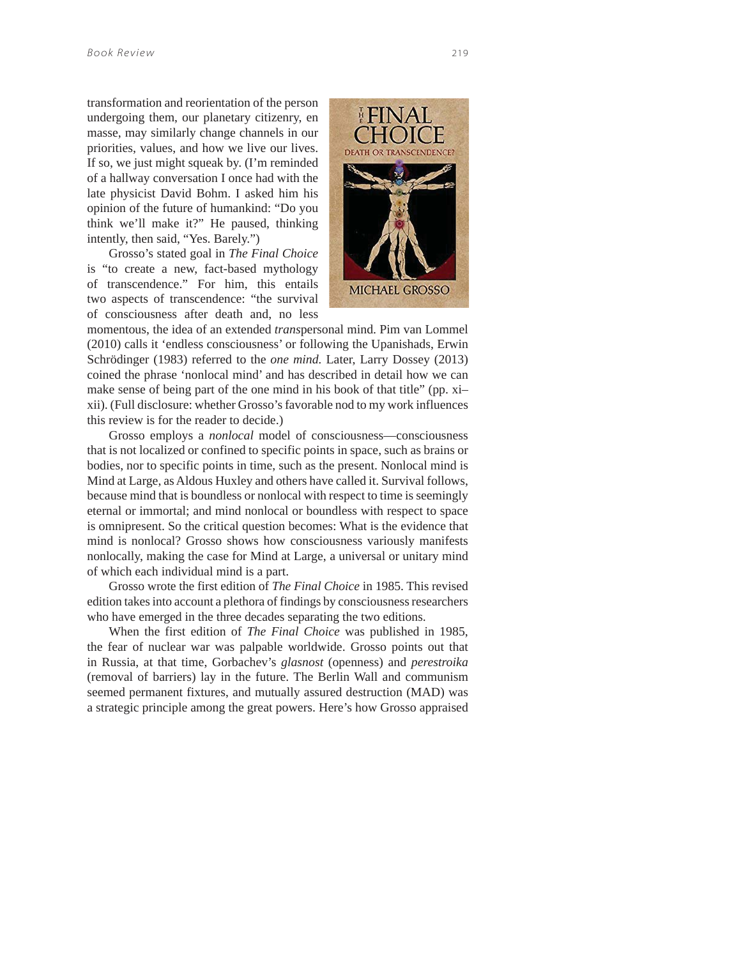transformation and reorientation of the person undergoing them, our planetary citizenry, en masse, may similarly change channels in our priorities, values, and how we live our lives. If so, we just might squeak by. (I'm reminded of a hallway conversation I once had with the late physicist David Bohm. I asked him his opinion of the future of humankind: "Do you think we'll make it?" He paused, thinking intently, then said, "Yes. Barely.")

Grosso's stated goal in *The Final Choice* is "to create a new, fact-based mythology of transcendence." For him, this entails two aspects of transcendence: "the survival of consciousness after death and, no less



momentous, the idea of an extended *trans*personal mind. Pim van Lommel (2010) calls it 'endless consciousness' or following the Upanishads, Erwin Schrödinger (1983) referred to the *one mind.* Later, Larry Dossey (2013) coined the phrase 'nonlocal mind' and has described in detail how we can make sense of being part of the one mind in his book of that title" (pp. xi– xii). (Full disclosure: whether Grosso's favorable nod to my work influences this review is for the reader to decide.)

Grosso employs a *nonlocal* model of consciousness—consciousness that is not localized or confined to specific points in space, such as brains or bodies, nor to specific points in time, such as the present. Nonlocal mind is Mind at Large, as Aldous Huxley and others have called it. Survival follows, because mind that is boundless or nonlocal with respect to time is seemingly eternal or immortal; and mind nonlocal or boundless with respect to space is omnipresent. So the critical question becomes: What is the evidence that mind is nonlocal? Grosso shows how consciousness variously manifests nonlocally, making the case for Mind at Large, a universal or unitary mind of which each individual mind is a part.

Grosso wrote the first edition of *The Final Choice* in 1985. This revised edition takes into account a plethora of findings by consciousness researchers who have emerged in the three decades separating the two editions.

When the first edition of *The Final Choice* was published in 1985, the fear of nuclear war was palpable worldwide. Grosso points out that in Russia, at that time, Gorbachev's *glasnost* (openness) and *perestroika* (removal of barriers) lay in the future. The Berlin Wall and communism seemed permanent fixtures, and mutually assured destruction (MAD) was a strategic principle among the great powers. Here's how Grosso appraised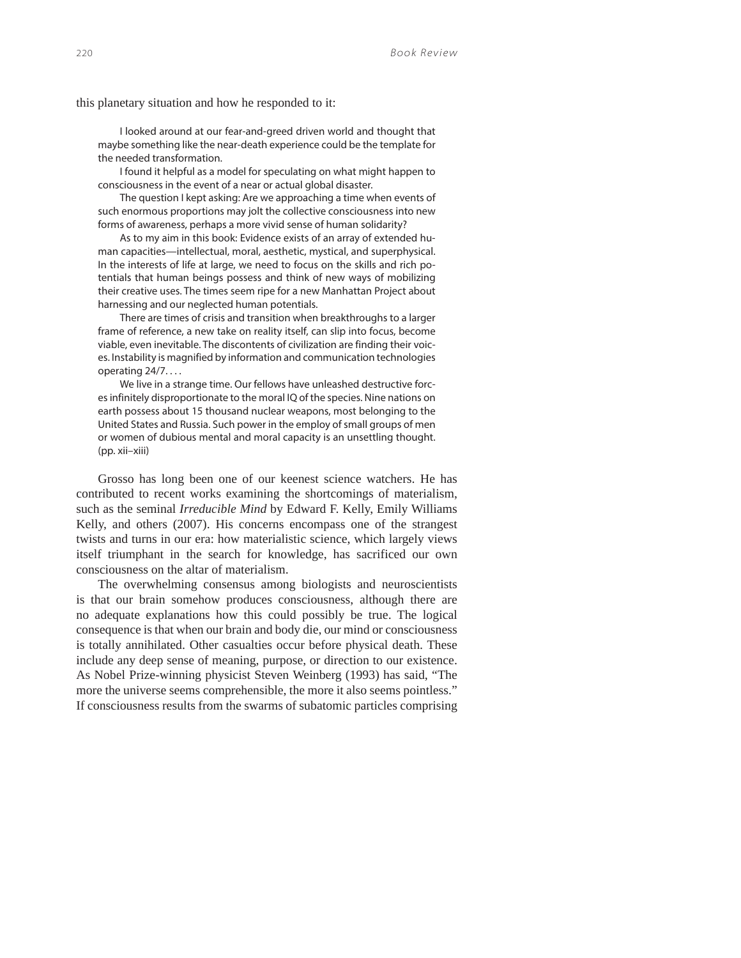this planetary situation and how he responded to it:

I looked around at our fear-and-greed driven world and thought that maybe something like the near-death experience could be the template for the needed transformation.

 I found it helpful as a model for speculating on what might happen to consciousness in the event of a near or actual global disaster.

 The question I kept asking: Are we approaching a time when events of such enormous proportions may jolt the collective consciousness into new forms of awareness, perhaps a more vivid sense of human solidarity?

 As to my aim in this book: Evidence exists of an array of extended human capacities—intellectual, moral, aesthetic, mystical, and superphysical. In the interests of life at large, we need to focus on the skills and rich potentials that human beings possess and think of new ways of mobilizing their creative uses. The times seem ripe for a new Manhattan Project about harnessing and our neglected human potentials.

 There are times of crisis and transition when breakthroughs to a larger frame of reference, a new take on reality itself, can slip into focus, become viable, even inevitable. The discontents of civilization are finding their voices. Instability is magnified by information and communication technologies operating 24/7. . . .

 We live in a strange time. Our fellows have unleashed destructive forces infinitely disproportionate to the moral IQ of the species. Nine nations on earth possess about 15 thousand nuclear weapons, most belonging to the United States and Russia. Such power in the employ of small groups of men or women of dubious mental and moral capacity is an unsettling thought. (pp. xii–xiii)

Grosso has long been one of our keenest science watchers. He has contributed to recent works examining the shortcomings of materialism, such as the seminal *Irreducible Mind* by Edward F. Kelly, Emily Williams Kelly, and others (2007). His concerns encompass one of the strangest twists and turns in our era: how materialistic science, which largely views itself triumphant in the search for knowledge, has sacrificed our own consciousness on the altar of materialism.

The overwhelming consensus among biologists and neuroscientists is that our brain somehow produces consciousness, although there are no adequate explanations how this could possibly be true. The logical consequence is that when our brain and body die, our mind or consciousness is totally annihilated. Other casualties occur before physical death. These include any deep sense of meaning, purpose, or direction to our existence. As Nobel Prize-winning physicist Steven Weinberg (1993) has said, "The more the universe seems comprehensible, the more it also seems pointless." If consciousness results from the swarms of subatomic particles comprising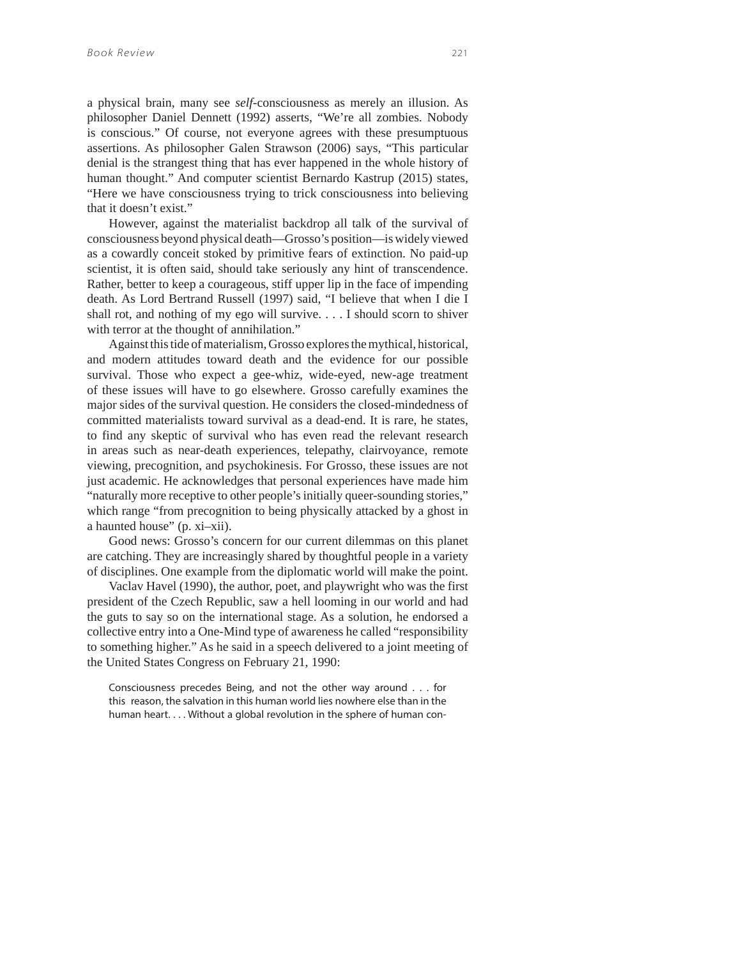a physical brain, many see *self*-consciousness as merely an illusion. As philosopher Daniel Dennett (1992) asserts, "We're all zombies. Nobody is conscious." Of course, not everyone agrees with these presumptuous assertions. As philosopher Galen Strawson (2006) says, "This particular denial is the strangest thing that has ever happened in the whole history of human thought." And computer scientist Bernardo Kastrup (2015) states, "Here we have consciousness trying to trick consciousness into believing that it doesn't exist."

However, against the materialist backdrop all talk of the survival of consciousness beyond physical death—Grosso's position—is widely viewed as a cowardly conceit stoked by primitive fears of extinction. No paid-up scientist, it is often said, should take seriously any hint of transcendence. Rather, better to keep a courageous, stiff upper lip in the face of impending death. As Lord Bertrand Russell (1997) said, "I believe that when I die I shall rot, and nothing of my ego will survive. . . . I should scorn to shiver with terror at the thought of annihilation."

Against this tide of materialism, Grosso explores the mythical, historical, and modern attitudes toward death and the evidence for our possible survival. Those who expect a gee-whiz, wide-eyed, new-age treatment of these issues will have to go elsewhere. Grosso carefully examines the major sides of the survival question. He considers the closed-mindedness of committed materialists toward survival as a dead-end. It is rare, he states, to find any skeptic of survival who has even read the relevant research in areas such as near-death experiences, telepathy, clairvoyance, remote viewing, precognition, and psychokinesis. For Grosso, these issues are not just academic. He acknowledges that personal experiences have made him "naturally more receptive to other people's initially queer-sounding stories," which range "from precognition to being physically attacked by a ghost in a haunted house" (p. xi–xii).

Good news: Grosso's concern for our current dilemmas on this planet are catching. They are increasingly shared by thoughtful people in a variety of disciplines. One example from the diplomatic world will make the point.

Vaclav Havel (1990), the author, poet, and playwright who was the first president of the Czech Republic, saw a hell looming in our world and had the guts to say so on the international stage. As a solution, he endorsed a collective entry into a One-Mind type of awareness he called "responsibility to something higher." As he said in a speech delivered to a joint meeting of the United States Congress on February 21, 1990:

Consciousness precedes Being, and not the other way around . . . for this reason, the salvation in this human world lies nowhere else than in the human heart. . . . Without a global revolution in the sphere of human con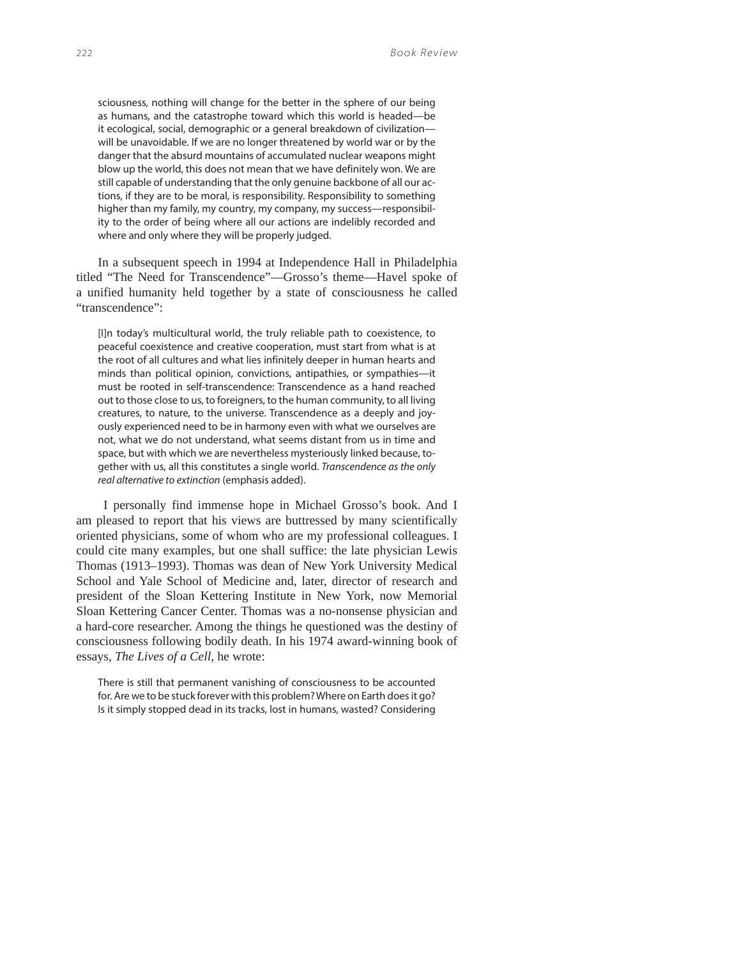sciousness, nothing will change for the better in the sphere of our being as humans, and the catastrophe toward which this world is headed—be it ecological, social, demographic or a general breakdown of civilization will be unavoidable. If we are no longer threatened by world war or by the danger that the absurd mountains of accumulated nuclear weapons might blow up the world, this does not mean that we have definitely won. We are still capable of understanding that the only genuine backbone of all our actions, if they are to be moral, is responsibility. Responsibility to something higher than my family, my country, my company, my success—responsibility to the order of being where all our actions are indelibly recorded and where and only where they will be properly judged.

In a subsequent speech in 1994 at Independence Hall in Philadelphia titled "The Need for Transcendence"—Grosso's theme—Havel spoke of a unified humanity held together by a state of consciousness he called "transcendence":

[I]n today's multicultural world, the truly reliable path to coexistence, to peaceful coexistence and creative cooperation, must start from what is at the root of all cultures and what lies infinitely deeper in human hearts and minds than political opinion, convictions, antipathies, or sympathies—it must be rooted in self-transcendence: Transcendence as a hand reached out to those close to us, to foreigners, to the human community, to all living creatures, to nature, to the universe. Transcendence as a deeply and joyously experienced need to be in harmony even with what we ourselves are not, what we do not understand, what seems distant from us in time and space, but with which we are nevertheless mysteriously linked because, together with us, all this constitutes a single world. Transcendence as the only real alternative to extinction (emphasis added).

 I personally find immense hope in Michael Grosso's book. And I am pleased to report that his views are buttressed by many scientifically oriented physicians, some of whom who are my professional colleagues. I could cite many examples, but one shall suffice: the late physician Lewis Thomas (1913–1993). Thomas was dean of New York University Medical School and Yale School of Medicine and, later, director of research and president of the Sloan Kettering Institute in New York, now Memorial Sloan Kettering Cancer Center. Thomas was a no-nonsense physician and a hard-core researcher. Among the things he questioned was the destiny of consciousness following bodily death. In his 1974 award-winning book of essays, *The Lives of a Cell,* he wrote:

There is still that permanent vanishing of consciousness to be accounted for. Are we to be stuck forever with this problem? Where on Earth does it go? Is it simply stopped dead in its tracks, lost in humans, wasted? Considering